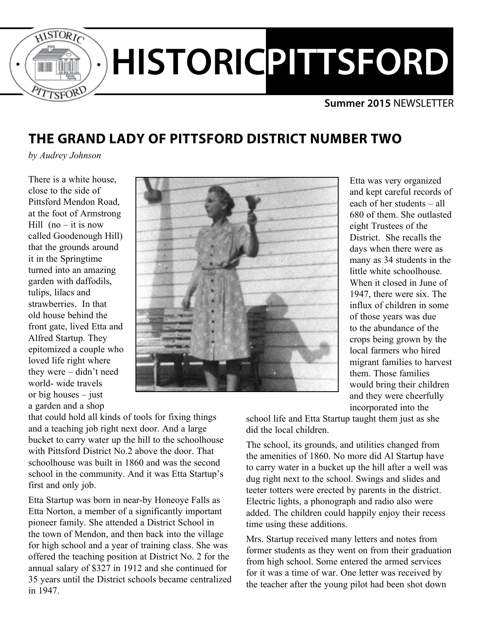

#### **Summer 2015** NEWSLETTER

# **THE GRAND LADY OF PITTSFORD DISTRICT NUMBER TWO**

*by Audrey Johnson*

There is a white house, close to the side of Pittsford Mendon Road, at the foot of Armstrong Hill  $(no - it$  is now called Goodenough Hill) that the grounds around it in the Springtime turned into an amazing garden with daffodils, tulips, lilacs and strawberries. In that old house behind the front gate, lived Etta and Alfred Startup. They epitomized a couple who loved life right where they were – didn't need world- wide travels or big houses – just a garden and a shop



Etta was very organized and kept careful records of each of her students – all 680 of them. She outlasted eight Trustees of the District. She recalls the days when there were as many as 34 students in the little white schoolhouse. When it closed in June of 1947, there were six. The influx of children in some of those years was due to the abundance of the crops being grown by the local farmers who hired migrant families to harvest them. Those families would bring their children and they were cheerfully incorporated into the

that could hold all kinds of tools for fixing things and a teaching job right next door. And a large bucket to carry water up the hill to the schoolhouse with Pittsford District No. 2 above the door. That schoolhouse was built in 1860 and was the second school in the community. And it was Etta Startup's first and only job.

Etta Startup was born in near-by Honeoye Falls as Etta Norton, a member of a significantly important pioneer family. She attended a District School in the town of Mendon, and then back into the village for high school and a year of training class. She was offered the teaching position at District No. 2 for the annual salary of \$327 in 1912 and she continued for 35 years until the District schools became centralized in 1947.

school life and Etta Startup taught them just as she did the local children.

The school, its grounds, and utilities changed from the amenities of 1860. No more did Al Startup have to carry water in a bucket up the hill after a well was dug right next to the school. Swings and slides and teeter totters were erected by parents in the district. Electric lights, a phonograph and radio also were added. The children could happily enjoy their recess time using these additions.

Mrs. Startup received many letters and notes from former students as they went on from their graduation from high school. Some entered the armed services for it was a time of war. One letter was received by the teacher after the young pilot had been shot down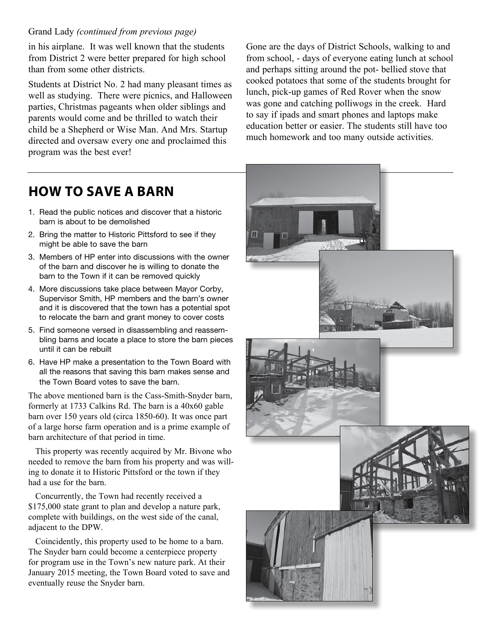#### Grand Lady *(continued from previous page)*

in his airplane. It was well known that the students from District 2 were better prepared for high school than from some other districts.

Students at District No. 2 had many pleasant times as well as studying. There were picnics, and Halloween parties, Christmas pageants when older siblings and parents would come and be thrilled to watch their child be a Shepherd or Wise Man. And Mrs. Startup directed and oversaw every one and proclaimed this program was the best ever!

Gone are the days of District Schools, walking to and from school, - days of everyone eating lunch at school and perhaps sitting around the pot- bellied stove that cooked potatoes that some of the students brought for lunch, pick-up games of Red Rover when the snow was gone and catching polliwogs in the creek. Hard to say if ipads and smart phones and laptops make education better or easier. The students still have too much homework and too many outside activities.

### **HOW TO SAVE A BARN**

- 1. Read the public notices and discover that a historic barn is about to be demolished
- 2. Bring the matter to Historic Pittsford to see if they might be able to save the barn
- 3. Members of HP enter into discussions with the owner of the barn and discover he is willing to donate the barn to the Town if it can be removed quickly
- 4. More discussions take place between Mayor Corby, Supervisor Smith, HP members and the barn's owner and it is discovered that the town has a potential spot to relocate the barn and grant money to cover costs
- 5. Find someone versed in disassembling and reassembling barns and locate a place to store the barn pieces until it can be rebuilt
- 6. Have HP make a presentation to the Town Board with all the reasons that saving this barn makes sense and the Town Board votes to save the barn.

The above mentioned barn is the Cass-Smith-Snyder barn, formerly at 1733 Calkins Rd. The barn is a 40x60 gable barn over 150 years old (circa 1850-60). It was once part of a large horse farm operation and is a prime example of barn architecture of that period in time.

This property was recently acquired by Mr. Bivone who needed to remove the barn from his property and was willing to donate it to Historic Pittsford or the town if they had a use for the barn.

Concurrently, the Town had recently received a \$175,000 state grant to plan and develop a nature park, complete with buildings, on the west side of the canal, adjacent to the DPW.

Coincidently, this property used to be home to a barn. The Snyder barn could become a centerpiece property for program use in the Town's new nature park. At their January 2015 meeting, the Town Board voted to save and eventually reuse the Snyder barn.

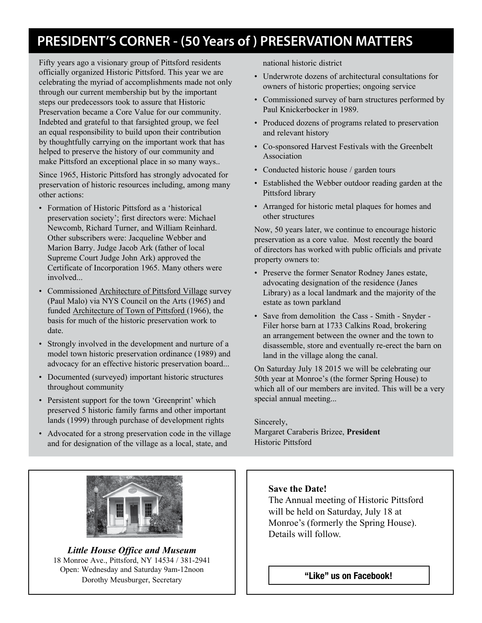# **PRESIDENT'S CORNER - (50 Years of ) PRESERVATION MATTERS**

Fifty years ago a visionary group of Pittsford residents officially organized Historic Pittsford. This year we are celebrating the myriad of accomplishments made not only through our current membership but by the important steps our predecessors took to assure that Historic Preservation became a Core Value for our community. Indebted and grateful to that farsighted group, we feel an equal responsibility to build upon their contribution by thoughtfully carrying on the important work that has helped to preserve the history of our community and make Pittsford an exceptional place in so many ways..

Since 1965, Historic Pittsford has strongly advocated for preservation of historic resources including, among many other actions:

- Formation of Historic Pittsford as a 'historical preservation society'; first directors were: Michael Newcomb, Richard Turner, and William Reinhard. Other subscribers were: Jacqueline Webber and Marion Barry. Judge Jacob Ark (father of local Supreme Court Judge John Ark) approved the Certificate of Incorporation 1965. Many others were involved...
- Commissioned Architecture of Pittsford Village survey (Paul Malo) via NYS Council on the Arts (1965) and funded Architecture of Town of Pittsford (1966), the basis for much of the historic preservation work to date.
- Strongly involved in the development and nurture of a model town historic preservation ordinance (1989) and advocacy for an effective historic preservation board...
- Documented (surveyed) important historic structures throughout community
- Persistent support for the town 'Greenprint' which preserved 5 historic family farms and other important lands (1999) through purchase of development rights
- Advocated for a strong preservation code in the village and for designation of the village as a local, state, and



*Little House Office and Museum* 18 Monroe Ave., Pittsford, NY 14534 / 381-2941 Open: Wednesday and Saturday 9am-12noon Dorothy Meusburger, Secretary

national historic district

- Underwrote dozens of architectural consultations for owners of historic properties; ongoing service
- Commissioned survey of barn structures performed by Paul Knickerbocker in 1989.
- Produced dozens of programs related to preservation and relevant history
- Co-sponsored Harvest Festivals with the Greenbelt Association
- Conducted historic house / garden tours
- Established the Webber outdoor reading garden at the Pittsford library
- Arranged for historic metal plaques for homes and other structures

Now, 50 years later, we continue to encourage historic preservation as a core value. Most recently the board of directors has worked with public officials and private property owners to:

- Preserve the former Senator Rodney Janes estate, advocating designation of the residence (Janes Library) as a local landmark and the majority of the estate as town parkland
- Save from demolition the Cass Smith Snyder Filer horse barn at 1733 Calkins Road, brokering an arrangement between the owner and the town to disassemble, store and eventually re-erect the barn on land in the village along the canal.

On Saturday July 18 2015 we will be celebrating our 50th year at Monroe's (the former Spring House) to which all of our members are invited. This will be a very special annual meeting...

Sincerely, Margaret Caraberis Brizee, **President** Historic Pittsford

#### **Save the Date!**

The Annual meeting of Historic Pittsford will be held on Saturday, July 18 at Monroe's (formerly the Spring House). Details will follow.

"Like" us on Facebook!